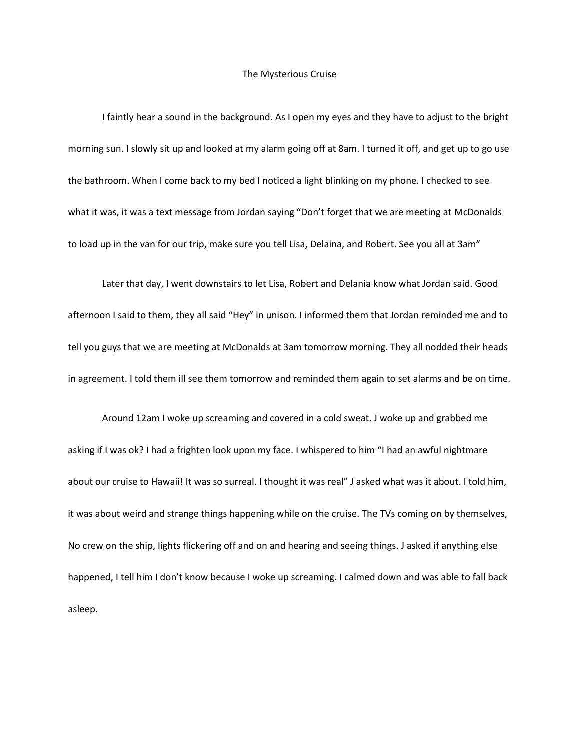## The Mysterious Cruise

I faintly hear a sound in the background. As I open my eyes and they have to adjust to the bright morning sun. I slowly sit up and looked at my alarm going off at 8am. I turned it off, and get up to go use the bathroom. When I come back to my bed I noticed a light blinking on my phone. I checked to see what it was, it was a text message from Jordan saying "Don't forget that we are meeting at McDonalds to load up in the van for our trip, make sure you tell Lisa, Delaina, and Robert. See you all at 3am"

Later that day, I went downstairs to let Lisa, Robert and Delania know what Jordan said. Good afternoon I said to them, they all said "Hey" in unison. I informed them that Jordan reminded me and to tell you guys that we are meeting at McDonalds at 3am tomorrow morning. They all nodded their heads in agreement. I told them ill see them tomorrow and reminded them again to set alarms and be on time.

Around 12am I woke up screaming and covered in a cold sweat. J woke up and grabbed me asking if I was ok? I had a frighten look upon my face. I whispered to him "I had an awful nightmare about our cruise to Hawaii! It was so surreal. I thought it was real" J asked what was it about. I told him, it was about weird and strange things happening while on the cruise. The TVs coming on by themselves, No crew on the ship, lights flickering off and on and hearing and seeing things. J asked if anything else happened, I tell him I don't know because I woke up screaming. I calmed down and was able to fall back asleep.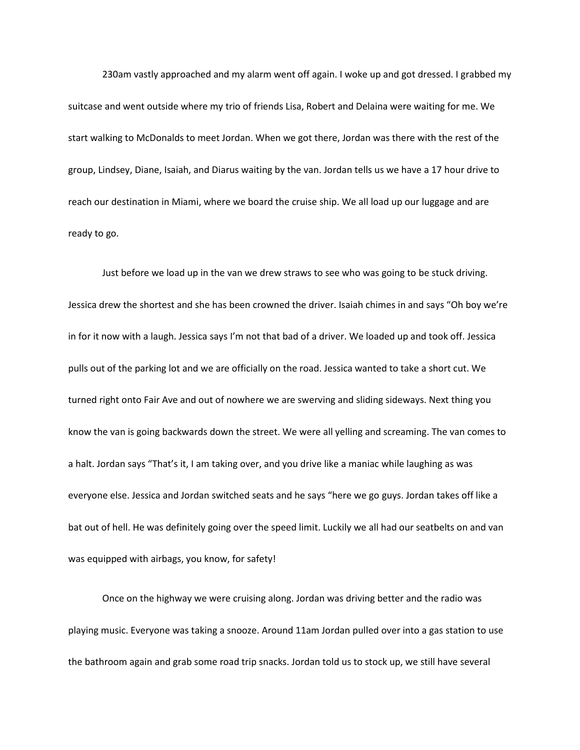230am vastly approached and my alarm went off again. I woke up and got dressed. I grabbed my suitcase and went outside where my trio of friends Lisa, Robert and Delaina were waiting for me. We start walking to McDonalds to meet Jordan. When we got there, Jordan was there with the rest of the group, Lindsey, Diane, Isaiah, and Diarus waiting by the van. Jordan tells us we have a 17 hour drive to reach our destination in Miami, where we board the cruise ship. We all load up our luggage and are ready to go.

Just before we load up in the van we drew straws to see who was going to be stuck driving. Jessica drew the shortest and she has been crowned the driver. Isaiah chimes in and says "Oh boy we're in for it now with a laugh. Jessica says I'm not that bad of a driver. We loaded up and took off. Jessica pulls out of the parking lot and we are officially on the road. Jessica wanted to take a short cut. We turned right onto Fair Ave and out of nowhere we are swerving and sliding sideways. Next thing you know the van is going backwards down the street. We were all yelling and screaming. The van comes to a halt. Jordan says "That's it, I am taking over, and you drive like a maniac while laughing as was everyone else. Jessica and Jordan switched seats and he says "here we go guys. Jordan takes off like a bat out of hell. He was definitely going over the speed limit. Luckily we all had our seatbelts on and van was equipped with airbags, you know, for safety!

Once on the highway we were cruising along. Jordan was driving better and the radio was playing music. Everyone was taking a snooze. Around 11am Jordan pulled over into a gas station to use the bathroom again and grab some road trip snacks. Jordan told us to stock up, we still have several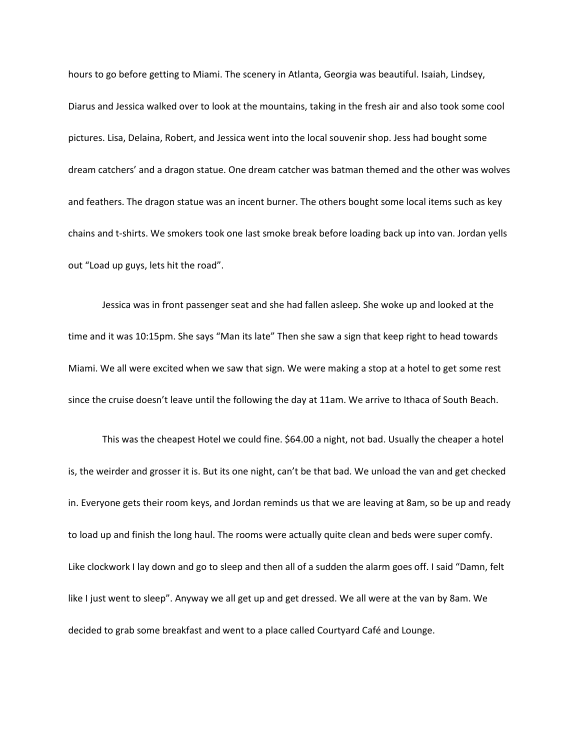hours to go before getting to Miami. The scenery in Atlanta, Georgia was beautiful. Isaiah, Lindsey, Diarus and Jessica walked over to look at the mountains, taking in the fresh air and also took some cool pictures. Lisa, Delaina, Robert, and Jessica went into the local souvenir shop. Jess had bought some dream catchers' and a dragon statue. One dream catcher was batman themed and the other was wolves and feathers. The dragon statue was an incent burner. The others bought some local items such as key chains and t-shirts. We smokers took one last smoke break before loading back up into van. Jordan yells out "Load up guys, lets hit the road".

Jessica was in front passenger seat and she had fallen asleep. She woke up and looked at the time and it was 10:15pm. She says "Man its late" Then she saw a sign that keep right to head towards Miami. We all were excited when we saw that sign. We were making a stop at a hotel to get some rest since the cruise doesn't leave until the following the day at 11am. We arrive to Ithaca of South Beach.

This was the cheapest Hotel we could fine. \$64.00 a night, not bad. Usually the cheaper a hotel is, the weirder and grosser it is. But its one night, can't be that bad. We unload the van and get checked in. Everyone gets their room keys, and Jordan reminds us that we are leaving at 8am, so be up and ready to load up and finish the long haul. The rooms were actually quite clean and beds were super comfy. Like clockwork I lay down and go to sleep and then all of a sudden the alarm goes off. I said "Damn, felt like I just went to sleep". Anyway we all get up and get dressed. We all were at the van by 8am. We decided to grab some breakfast and went to a place called Courtyard Café and Lounge.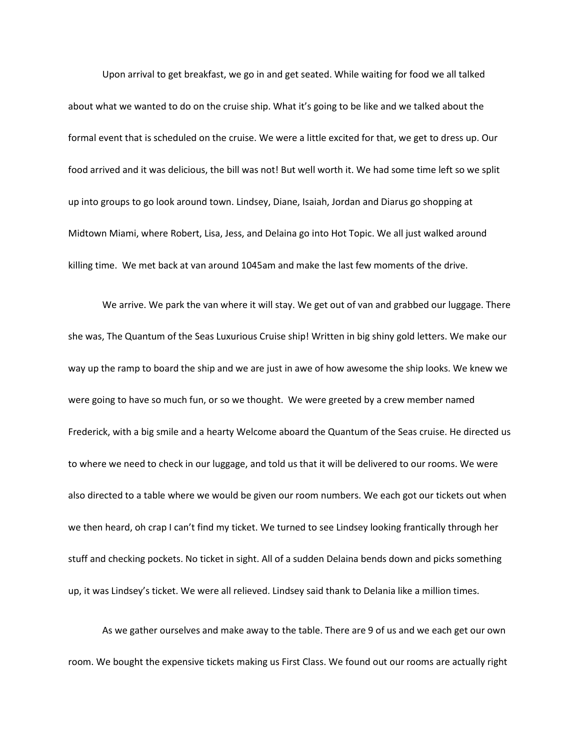Upon arrival to get breakfast, we go in and get seated. While waiting for food we all talked about what we wanted to do on the cruise ship. What it's going to be like and we talked about the formal event that is scheduled on the cruise. We were a little excited for that, we get to dress up. Our food arrived and it was delicious, the bill was not! But well worth it. We had some time left so we split up into groups to go look around town. Lindsey, Diane, Isaiah, Jordan and Diarus go shopping at Midtown Miami, where Robert, Lisa, Jess, and Delaina go into Hot Topic. We all just walked around killing time. We met back at van around 1045am and make the last few moments of the drive.

We arrive. We park the van where it will stay. We get out of van and grabbed our luggage. There she was, The Quantum of the Seas Luxurious Cruise ship! Written in big shiny gold letters. We make our way up the ramp to board the ship and we are just in awe of how awesome the ship looks. We knew we were going to have so much fun, or so we thought. We were greeted by a crew member named Frederick, with a big smile and a hearty Welcome aboard the Quantum of the Seas cruise. He directed us to where we need to check in our luggage, and told us that it will be delivered to our rooms. We were also directed to a table where we would be given our room numbers. We each got our tickets out when we then heard, oh crap I can't find my ticket. We turned to see Lindsey looking frantically through her stuff and checking pockets. No ticket in sight. All of a sudden Delaina bends down and picks something up, it was Lindsey's ticket. We were all relieved. Lindsey said thank to Delania like a million times.

As we gather ourselves and make away to the table. There are 9 of us and we each get our own room. We bought the expensive tickets making us First Class. We found out our rooms are actually right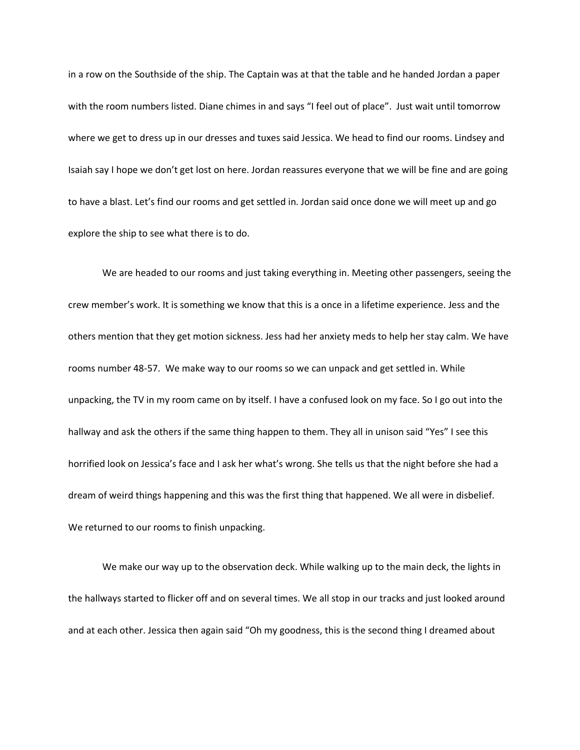in a row on the Southside of the ship. The Captain was at that the table and he handed Jordan a paper with the room numbers listed. Diane chimes in and says "I feel out of place". Just wait until tomorrow where we get to dress up in our dresses and tuxes said Jessica. We head to find our rooms. Lindsey and Isaiah say I hope we don't get lost on here. Jordan reassures everyone that we will be fine and are going to have a blast. Let's find our rooms and get settled in. Jordan said once done we will meet up and go explore the ship to see what there is to do.

We are headed to our rooms and just taking everything in. Meeting other passengers, seeing the crew member's work. It is something we know that this is a once in a lifetime experience. Jess and the others mention that they get motion sickness. Jess had her anxiety meds to help her stay calm. We have rooms number 48-57. We make way to our rooms so we can unpack and get settled in. While unpacking, the TV in my room came on by itself. I have a confused look on my face. So I go out into the hallway and ask the others if the same thing happen to them. They all in unison said "Yes" I see this horrified look on Jessica's face and I ask her what's wrong. She tells us that the night before she had a dream of weird things happening and this was the first thing that happened. We all were in disbelief. We returned to our rooms to finish unpacking.

We make our way up to the observation deck. While walking up to the main deck, the lights in the hallways started to flicker off and on several times. We all stop in our tracks and just looked around and at each other. Jessica then again said "Oh my goodness, this is the second thing I dreamed about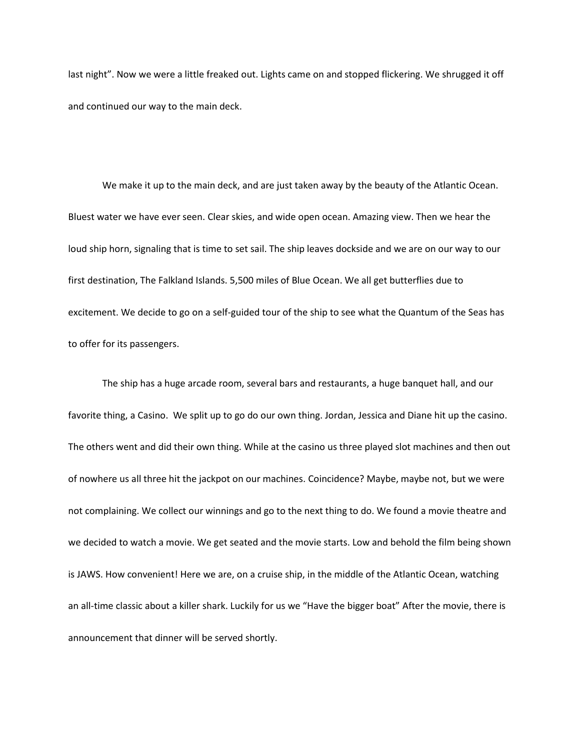last night". Now we were a little freaked out. Lights came on and stopped flickering. We shrugged it off and continued our way to the main deck.

We make it up to the main deck, and are just taken away by the beauty of the Atlantic Ocean. Bluest water we have ever seen. Clear skies, and wide open ocean. Amazing view. Then we hear the loud ship horn, signaling that is time to set sail. The ship leaves dockside and we are on our way to our first destination, The Falkland Islands. 5,500 miles of Blue Ocean. We all get butterflies due to excitement. We decide to go on a self-guided tour of the ship to see what the Quantum of the Seas has to offer for its passengers.

The ship has a huge arcade room, several bars and restaurants, a huge banquet hall, and our favorite thing, a Casino. We split up to go do our own thing. Jordan, Jessica and Diane hit up the casino. The others went and did their own thing. While at the casino us three played slot machines and then out of nowhere us all three hit the jackpot on our machines. Coincidence? Maybe, maybe not, but we were not complaining. We collect our winnings and go to the next thing to do. We found a movie theatre and we decided to watch a movie. We get seated and the movie starts. Low and behold the film being shown is JAWS. How convenient! Here we are, on a cruise ship, in the middle of the Atlantic Ocean, watching an all-time classic about a killer shark. Luckily for us we "Have the bigger boat" After the movie, there is announcement that dinner will be served shortly.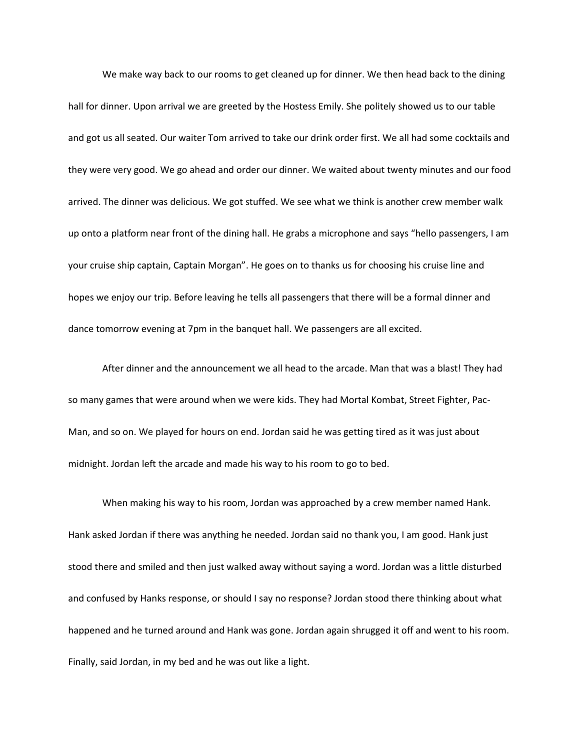We make way back to our rooms to get cleaned up for dinner. We then head back to the dining hall for dinner. Upon arrival we are greeted by the Hostess Emily. She politely showed us to our table and got us all seated. Our waiter Tom arrived to take our drink order first. We all had some cocktails and they were very good. We go ahead and order our dinner. We waited about twenty minutes and our food arrived. The dinner was delicious. We got stuffed. We see what we think is another crew member walk up onto a platform near front of the dining hall. He grabs a microphone and says "hello passengers, I am your cruise ship captain, Captain Morgan". He goes on to thanks us for choosing his cruise line and hopes we enjoy our trip. Before leaving he tells all passengers that there will be a formal dinner and dance tomorrow evening at 7pm in the banquet hall. We passengers are all excited.

After dinner and the announcement we all head to the arcade. Man that was a blast! They had so many games that were around when we were kids. They had Mortal Kombat, Street Fighter, Pac-Man, and so on. We played for hours on end. Jordan said he was getting tired as it was just about midnight. Jordan left the arcade and made his way to his room to go to bed.

When making his way to his room, Jordan was approached by a crew member named Hank. Hank asked Jordan if there was anything he needed. Jordan said no thank you, I am good. Hank just stood there and smiled and then just walked away without saying a word. Jordan was a little disturbed and confused by Hanks response, or should I say no response? Jordan stood there thinking about what happened and he turned around and Hank was gone. Jordan again shrugged it off and went to his room. Finally, said Jordan, in my bed and he was out like a light.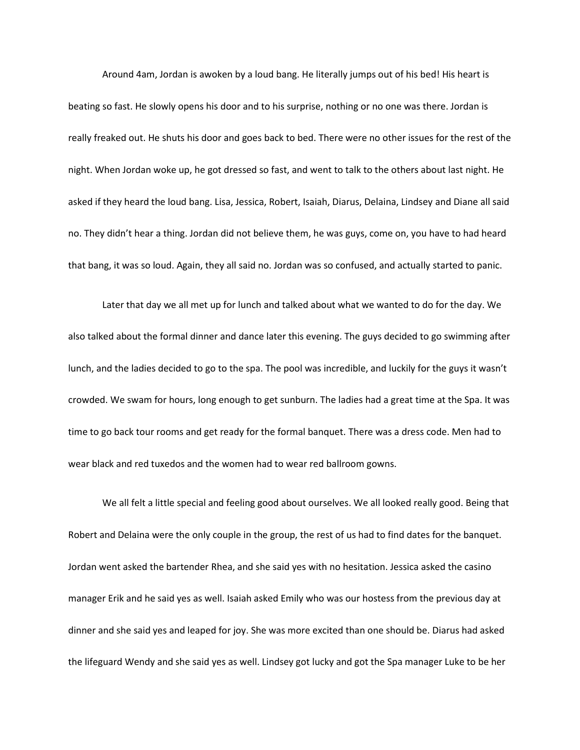Around 4am, Jordan is awoken by a loud bang. He literally jumps out of his bed! His heart is beating so fast. He slowly opens his door and to his surprise, nothing or no one was there. Jordan is really freaked out. He shuts his door and goes back to bed. There were no other issues for the rest of the night. When Jordan woke up, he got dressed so fast, and went to talk to the others about last night. He asked if they heard the loud bang. Lisa, Jessica, Robert, Isaiah, Diarus, Delaina, Lindsey and Diane all said no. They didn't hear a thing. Jordan did not believe them, he was guys, come on, you have to had heard that bang, it was so loud. Again, they all said no. Jordan was so confused, and actually started to panic.

Later that day we all met up for lunch and talked about what we wanted to do for the day. We also talked about the formal dinner and dance later this evening. The guys decided to go swimming after lunch, and the ladies decided to go to the spa. The pool was incredible, and luckily for the guys it wasn't crowded. We swam for hours, long enough to get sunburn. The ladies had a great time at the Spa. It was time to go back tour rooms and get ready for the formal banquet. There was a dress code. Men had to wear black and red tuxedos and the women had to wear red ballroom gowns.

We all felt a little special and feeling good about ourselves. We all looked really good. Being that Robert and Delaina were the only couple in the group, the rest of us had to find dates for the banquet. Jordan went asked the bartender Rhea, and she said yes with no hesitation. Jessica asked the casino manager Erik and he said yes as well. Isaiah asked Emily who was our hostess from the previous day at dinner and she said yes and leaped for joy. She was more excited than one should be. Diarus had asked the lifeguard Wendy and she said yes as well. Lindsey got lucky and got the Spa manager Luke to be her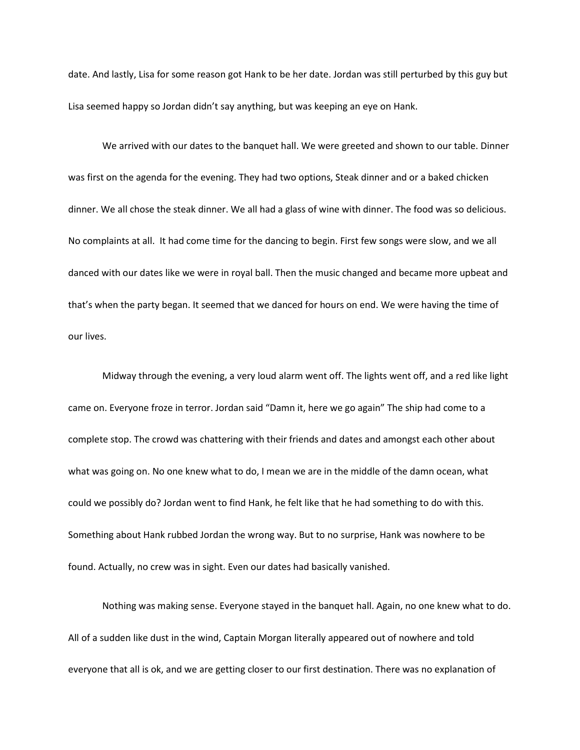date. And lastly, Lisa for some reason got Hank to be her date. Jordan was still perturbed by this guy but Lisa seemed happy so Jordan didn't say anything, but was keeping an eye on Hank.

We arrived with our dates to the banquet hall. We were greeted and shown to our table. Dinner was first on the agenda for the evening. They had two options, Steak dinner and or a baked chicken dinner. We all chose the steak dinner. We all had a glass of wine with dinner. The food was so delicious. No complaints at all. It had come time for the dancing to begin. First few songs were slow, and we all danced with our dates like we were in royal ball. Then the music changed and became more upbeat and that's when the party began. It seemed that we danced for hours on end. We were having the time of our lives.

Midway through the evening, a very loud alarm went off. The lights went off, and a red like light came on. Everyone froze in terror. Jordan said "Damn it, here we go again" The ship had come to a complete stop. The crowd was chattering with their friends and dates and amongst each other about what was going on. No one knew what to do, I mean we are in the middle of the damn ocean, what could we possibly do? Jordan went to find Hank, he felt like that he had something to do with this. Something about Hank rubbed Jordan the wrong way. But to no surprise, Hank was nowhere to be found. Actually, no crew was in sight. Even our dates had basically vanished.

Nothing was making sense. Everyone stayed in the banquet hall. Again, no one knew what to do. All of a sudden like dust in the wind, Captain Morgan literally appeared out of nowhere and told everyone that all is ok, and we are getting closer to our first destination. There was no explanation of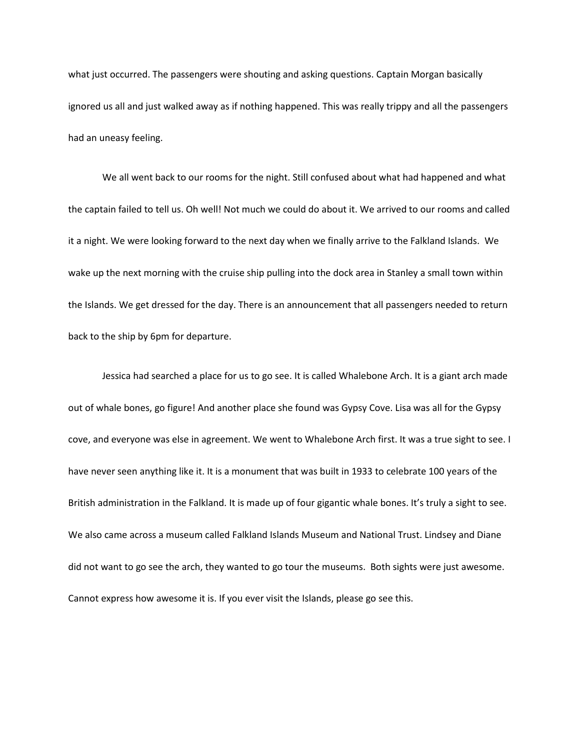what just occurred. The passengers were shouting and asking questions. Captain Morgan basically ignored us all and just walked away as if nothing happened. This was really trippy and all the passengers had an uneasy feeling.

We all went back to our rooms for the night. Still confused about what had happened and what the captain failed to tell us. Oh well! Not much we could do about it. We arrived to our rooms and called it a night. We were looking forward to the next day when we finally arrive to the Falkland Islands. We wake up the next morning with the cruise ship pulling into the dock area in Stanley a small town within the Islands. We get dressed for the day. There is an announcement that all passengers needed to return back to the ship by 6pm for departure.

Jessica had searched a place for us to go see. It is called Whalebone Arch. It is a giant arch made out of whale bones, go figure! And another place she found was Gypsy Cove. Lisa was all for the Gypsy cove, and everyone was else in agreement. We went to Whalebone Arch first. It was a true sight to see. I have never seen anything like it. It is a monument that was built in 1933 to celebrate 100 years of the British administration in the Falkland. It is made up of four gigantic whale bones. It's truly a sight to see. We also came across a museum called Falkland Islands Museum and National Trust. Lindsey and Diane did not want to go see the arch, they wanted to go tour the museums. Both sights were just awesome. Cannot express how awesome it is. If you ever visit the Islands, please go see this.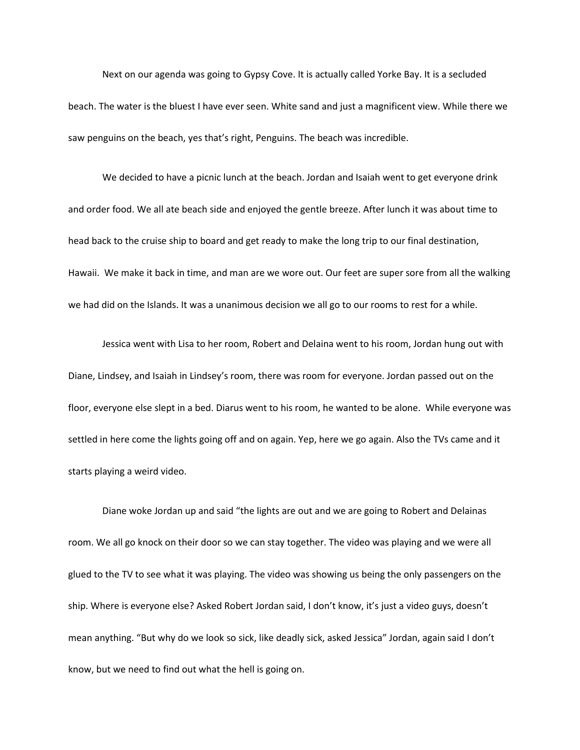Next on our agenda was going to Gypsy Cove. It is actually called Yorke Bay. It is a secluded beach. The water is the bluest I have ever seen. White sand and just a magnificent view. While there we saw penguins on the beach, yes that's right, Penguins. The beach was incredible.

We decided to have a picnic lunch at the beach. Jordan and Isaiah went to get everyone drink and order food. We all ate beach side and enjoyed the gentle breeze. After lunch it was about time to head back to the cruise ship to board and get ready to make the long trip to our final destination, Hawaii. We make it back in time, and man are we wore out. Our feet are super sore from all the walking we had did on the Islands. It was a unanimous decision we all go to our rooms to rest for a while.

Jessica went with Lisa to her room, Robert and Delaina went to his room, Jordan hung out with Diane, Lindsey, and Isaiah in Lindsey's room, there was room for everyone. Jordan passed out on the floor, everyone else slept in a bed. Diarus went to his room, he wanted to be alone. While everyone was settled in here come the lights going off and on again. Yep, here we go again. Also the TVs came and it starts playing a weird video.

Diane woke Jordan up and said "the lights are out and we are going to Robert and Delainas room. We all go knock on their door so we can stay together. The video was playing and we were all glued to the TV to see what it was playing. The video was showing us being the only passengers on the ship. Where is everyone else? Asked Robert Jordan said, I don't know, it's just a video guys, doesn't mean anything. "But why do we look so sick, like deadly sick, asked Jessica" Jordan, again said I don't know, but we need to find out what the hell is going on.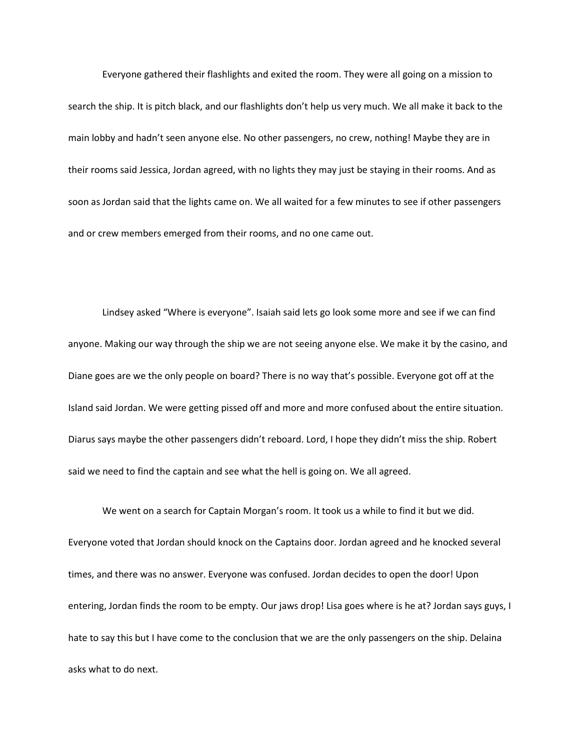Everyone gathered their flashlights and exited the room. They were all going on a mission to search the ship. It is pitch black, and our flashlights don't help us very much. We all make it back to the main lobby and hadn't seen anyone else. No other passengers, no crew, nothing! Maybe they are in their rooms said Jessica, Jordan agreed, with no lights they may just be staying in their rooms. And as soon as Jordan said that the lights came on. We all waited for a few minutes to see if other passengers and or crew members emerged from their rooms, and no one came out.

Lindsey asked "Where is everyone". Isaiah said lets go look some more and see if we can find anyone. Making our way through the ship we are not seeing anyone else. We make it by the casino, and Diane goes are we the only people on board? There is no way that's possible. Everyone got off at the Island said Jordan. We were getting pissed off and more and more confused about the entire situation. Diarus says maybe the other passengers didn't reboard. Lord, I hope they didn't miss the ship. Robert said we need to find the captain and see what the hell is going on. We all agreed.

We went on a search for Captain Morgan's room. It took us a while to find it but we did. Everyone voted that Jordan should knock on the Captains door. Jordan agreed and he knocked several times, and there was no answer. Everyone was confused. Jordan decides to open the door! Upon entering, Jordan finds the room to be empty. Our jaws drop! Lisa goes where is he at? Jordan says guys, I hate to say this but I have come to the conclusion that we are the only passengers on the ship. Delaina asks what to do next.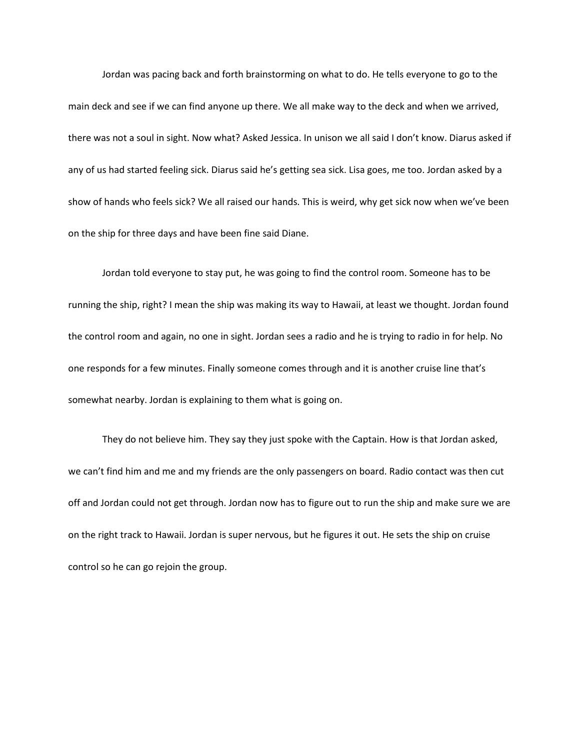Jordan was pacing back and forth brainstorming on what to do. He tells everyone to go to the main deck and see if we can find anyone up there. We all make way to the deck and when we arrived, there was not a soul in sight. Now what? Asked Jessica. In unison we all said I don't know. Diarus asked if any of us had started feeling sick. Diarus said he's getting sea sick. Lisa goes, me too. Jordan asked by a show of hands who feels sick? We all raised our hands. This is weird, why get sick now when we've been on the ship for three days and have been fine said Diane.

Jordan told everyone to stay put, he was going to find the control room. Someone has to be running the ship, right? I mean the ship was making its way to Hawaii, at least we thought. Jordan found the control room and again, no one in sight. Jordan sees a radio and he is trying to radio in for help. No one responds for a few minutes. Finally someone comes through and it is another cruise line that's somewhat nearby. Jordan is explaining to them what is going on.

They do not believe him. They say they just spoke with the Captain. How is that Jordan asked, we can't find him and me and my friends are the only passengers on board. Radio contact was then cut off and Jordan could not get through. Jordan now has to figure out to run the ship and make sure we are on the right track to Hawaii. Jordan is super nervous, but he figures it out. He sets the ship on cruise control so he can go rejoin the group.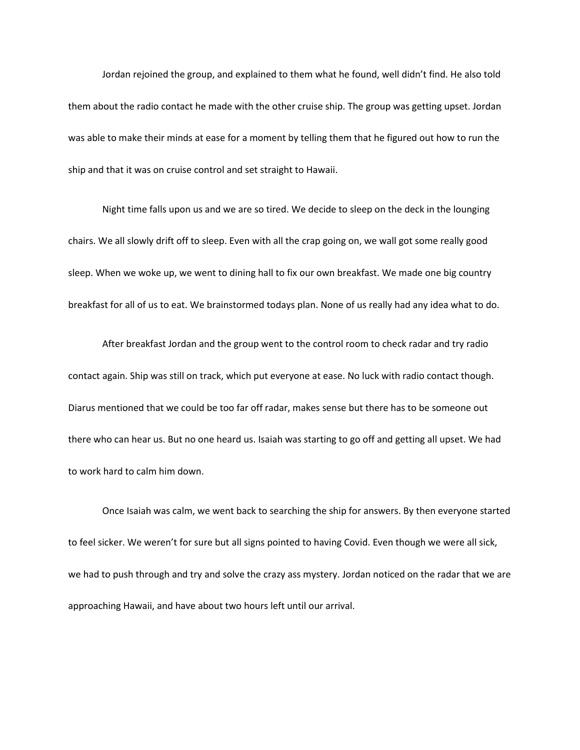Jordan rejoined the group, and explained to them what he found, well didn't find. He also told them about the radio contact he made with the other cruise ship. The group was getting upset. Jordan was able to make their minds at ease for a moment by telling them that he figured out how to run the ship and that it was on cruise control and set straight to Hawaii.

Night time falls upon us and we are so tired. We decide to sleep on the deck in the lounging chairs. We all slowly drift off to sleep. Even with all the crap going on, we wall got some really good sleep. When we woke up, we went to dining hall to fix our own breakfast. We made one big country breakfast for all of us to eat. We brainstormed todays plan. None of us really had any idea what to do.

After breakfast Jordan and the group went to the control room to check radar and try radio contact again. Ship was still on track, which put everyone at ease. No luck with radio contact though. Diarus mentioned that we could be too far off radar, makes sense but there has to be someone out there who can hear us. But no one heard us. Isaiah was starting to go off and getting all upset. We had to work hard to calm him down.

Once Isaiah was calm, we went back to searching the ship for answers. By then everyone started to feel sicker. We weren't for sure but all signs pointed to having Covid. Even though we were all sick, we had to push through and try and solve the crazy ass mystery. Jordan noticed on the radar that we are approaching Hawaii, and have about two hours left until our arrival.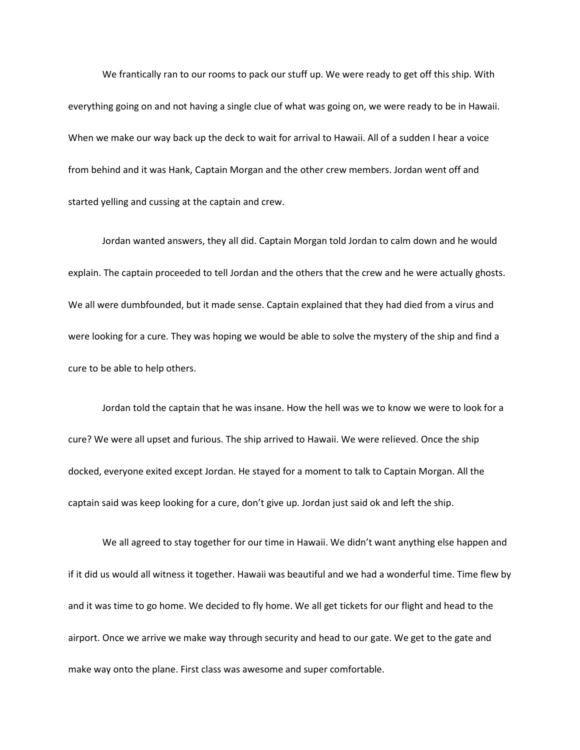We frantically ran to our rooms to pack our stuff up. We were ready to get off this ship. With everything going on and not having a single clue of what was going on, we were ready to be in Hawaii. When we make our way back up the deck to wait for arrival to Hawaii. All of a sudden I hear a voice from behind and it was Hank, Captain Morgan and the other crew members. Jordan went off and started yelling and cussing at the captain and crew.

Jordan wanted answers, they all did. Captain Morgan told Jordan to calm down and he would explain. The captain proceeded to tell Jordan and the others that the crew and he were actually ghosts. We all were dumbfounded, but it made sense. Captain explained that they had died from a virus and were looking for a cure. They was hoping we would be able to solve the mystery of the ship and find a cure to be able to help others.

Jordan told the captain that he was insane. How the hell was we to know we were to look for a cure? We were all upset and furious. The ship arrived to Hawaii. We were relieved. Once the ship docked, everyone exited except Jordan. He stayed for a moment to talk to Captain Morgan. All the captain said was keep looking for a cure, don't give up. Jordan just said ok and left the ship.

We all agreed to stay together for our time in Hawaii. We didn't want anything else happen and if it did us would all witness it together. Hawaii was beautiful and we had a wonderful time. Time flew by and it was time to go home. We decided to fly home. We all get tickets for our flight and head to the airport. Once we arrive we make way through security and head to our gate. We get to the gate and make way onto the plane. First class was awesome and super comfortable.